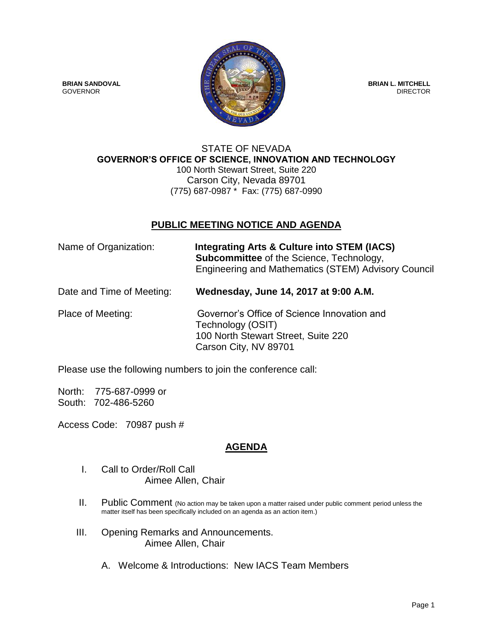

## STATE OF NEVADA **GOVERNOR'S OFFICE OF SCIENCE, INNOVATION AND TECHNOLOGY** 100 North Stewart Street, Suite 220 Carson City, Nevada 89701 (775) 687-0987 \* Fax: (775) 687-0990

## **PUBLIC MEETING NOTICE AND AGENDA**

| Name of Organization:     | Integrating Arts & Culture into STEM (IACS)<br><b>Subcommittee</b> of the Science, Technology,<br>Engineering and Mathematics (STEM) Advisory Council |
|---------------------------|-------------------------------------------------------------------------------------------------------------------------------------------------------|
| Date and Time of Meeting: | Wednesday, June 14, 2017 at 9:00 A.M.                                                                                                                 |
| Place of Meeting:         | Governor's Office of Science Innovation and                                                                                                           |

Technology (OSIT) 100 North Stewart Street, Suite 220 Carson City, NV 89701

Please use the following numbers to join the conference call:

North: 775-687-0999 or South: 702-486-5260

Access Code: 70987 push #

## **AGENDA**

- I. Call to Order/Roll Call Aimee Allen, Chair
- II. Public Comment (No action may be taken upon a matter raised under public comment period unless the matter itself has been specifically included on an agenda as an action item.)
- III. Opening Remarks and Announcements. Aimee Allen, Chair
	- A. Welcome & Introductions: New IACS Team Members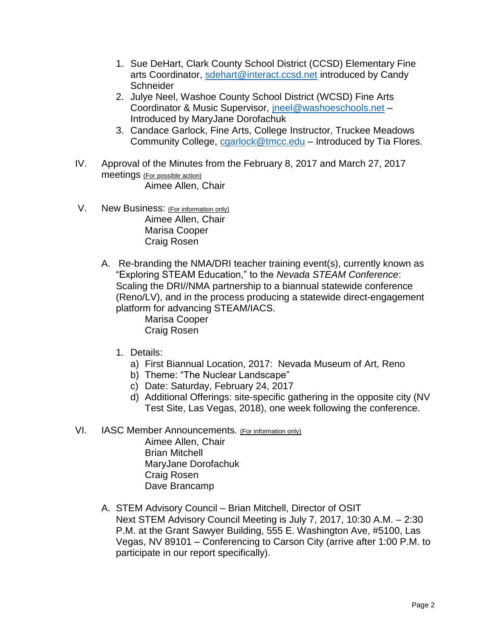- 1. Sue DeHart, Clark County School District (CCSD) Elementary Fine arts Coordinator, [sdehart@interact.ccsd.net](mailto:sdehart@interact.ccsd.net) introduced by Candy **Schneider**
- 2. Julye Neel, Washoe County School District (WCSD) Fine Arts Coordinator & Music Supervisor, [jneel@washoeschools.net](mailto:jneel@washoeschools.net) – Introduced by MaryJane Dorofachuk
- 3. Candace Garlock, Fine Arts, College Instructor, Truckee Meadows Community College, [cgarlock@tmcc.edu](mailto:cgarlock@tmcc.edu) – Introduced by Tia Flores.
- IV. Approval of the Minutes from the February 8, 2017 and March 27, 2017 meetings (For possible action) Aimee Allen, Chair
- V. New Business: (For information only) Aimee Allen, Chair Marisa Cooper Craig Rosen
	- A. Re-branding the NMA/DRI teacher training event(s), currently known as "Exploring STEAM Education," to the *Nevada STEAM Conference*: Scaling the DRI//NMA partnership to a biannual statewide conference (Reno/LV), and in the process producing a statewide direct-engagement platform for advancing STEAM/IACS.

Marisa Cooper Craig Rosen

- 1. Details:
	- a) First Biannual Location, 2017: Nevada Museum of Art, Reno
	- b) Theme: "The Nuclear Landscape"
	- c) Date: Saturday, February 24, 2017
	- d) Additional Offerings: site-specific gathering in the opposite city (NV Test Site, Las Vegas, 2018), one week following the conference.
- VI. IASC Member Announcements. (For information only)

Aimee Allen, Chair Brian Mitchell MaryJane Dorofachuk Craig Rosen Dave Brancamp

A. STEM Advisory Council – Brian Mitchell, Director of OSIT Next STEM Advisory Council Meeting is July 7, 2017, 10:30 A.M. – 2:30 P.M. at the Grant Sawyer Building, 555 E. Washington Ave, #5100, Las Vegas, NV 89101 – Conferencing to Carson City (arrive after 1:00 P.M. to participate in our report specifically).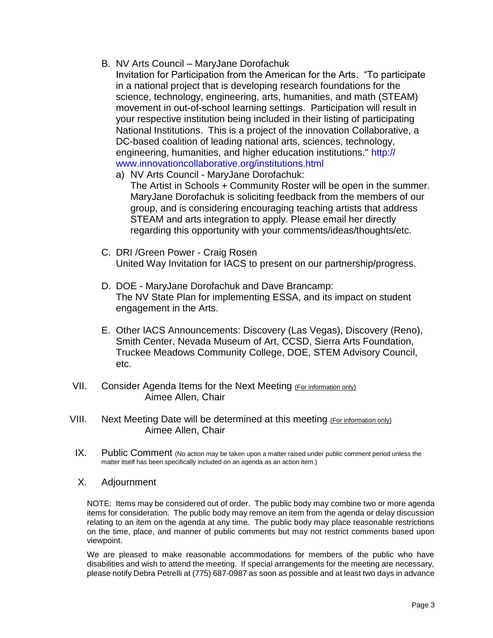- B. NV Arts Council MaryJane Dorofachuk
	- Invitation for Participation from the American for the Arts. "To participate in a national project that is developing research foundations for the science, technology, engineering, arts, humanities, and math (STEAM) movement in out-of-school learning settings. Participation will result in your respective institution being included in their listing of participating National Institutions. This is a project of the innovation Collaborative, a DC-based coalition of leading national arts, sciences, technology, engineering, humanities, and higher education institutions." http:// www.innovationcollaborative.org/institutions.html
		- a) NV Arts Council MaryJane Dorofachuk: The Artist in Schools + Community Roster will be open in the summer. MaryJane Dorofachuk is soliciting feedback from the members of our group, and is considering encouraging teaching artists that address STEAM and arts integration to apply. Please email her directly regarding this opportunity with your comments/ideas/thoughts/etc.
- C. DRI /Green Power Craig Rosen United Way Invitation for IACS to present on our partnership/progress.
- D. DOE MaryJane Dorofachuk and Dave Brancamp: The NV State Plan for implementing ESSA, and its impact on student engagement in the Arts.
- E. Other IACS Announcements: Discovery (Las Vegas), Discovery (Reno), Smith Center, Nevada Museum of Art, CCSD, Sierra Arts Foundation, Truckee Meadows Community College, DOE, STEM Advisory Council, etc.
- VII. Consider Agenda Items for the Next Meeting (For information only) Aimee Allen, Chair
- VIII. Next Meeting Date will be determined at this meeting (For information only) Aimee Allen, Chair
	- IX. Public Comment (No action may be taken upon a matter raised under public comment period unless the matter itself has been specifically included on an agenda as an action item.)
	- X. Adjournment

NOTE: Items may be considered out of order. The public body may combine two or more agenda items for consideration. The public body may remove an item from the agenda or delay discussion relating to an item on the agenda at any time. The public body may place reasonable restrictions on the time, place, and manner of public comments but may not restrict comments based upon viewpoint.

We are pleased to make reasonable accommodations for members of the public who have disabilities and wish to attend the meeting. If special arrangements for the meeting are necessary, please notify Debra Petrelli at (775) 687-0987 as soon as possible and at least two days in advance